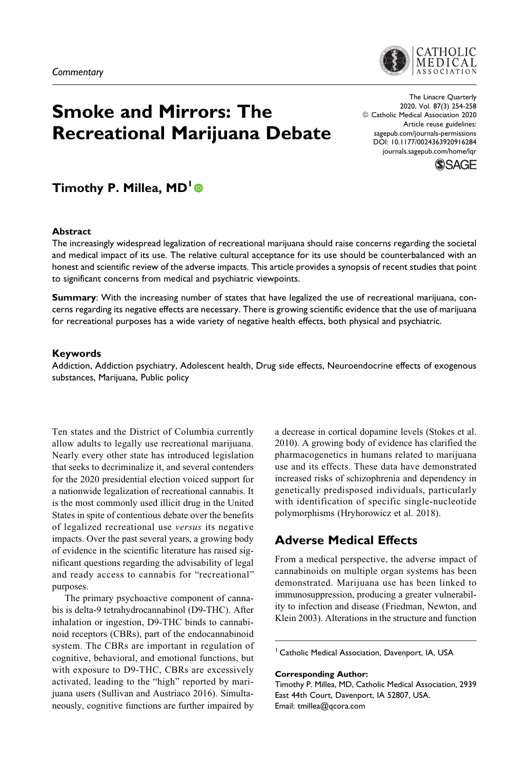

# Smoke and Mirrors: The Recreational Marijuana Debate

The Linacre Quarterly 2020, Vol. 87(3) 254-258 © Catholic Medical Association 2020 Article reuse guidelines: [sagepub.com/journals-permissions](https://sagepub.com/journals-permissions) [DOI: 10.1177/0024363920916284](https://doi.org/10.1177/0024363920916284) [journals.sagepub.com/home/lqr](http://journals.sagepub.com/home/lqr)



Timothy P. Millea, MD<sup>1</sup>

#### **Abstract**

The increasingly widespread legalization of recreational marijuana should raise concerns regarding the societal and medical impact of its use. The relative cultural acceptance for its use should be counterbalanced with an honest and scientific review of the adverse impacts. This article provides a synopsis of recent studies that point to significant concerns from medical and psychiatric viewpoints.

Summary: With the increasing number of states that have legalized the use of recreational marijuana, concerns regarding its negative effects are necessary. There is growing scientific evidence that the use of marijuana for recreational purposes has a wide variety of negative health effects, both physical and psychiatric.

#### Keywords

Addiction, Addiction psychiatry, Adolescent health, Drug side effects, Neuroendocrine effects of exogenous substances, Marijuana, Public policy

Ten states and the District of Columbia currently allow adults to legally use recreational marijuana. Nearly every other state has introduced legislation that seeks to decriminalize it, and several contenders for the 2020 presidential election voiced support for a nationwide legalization of recreational cannabis. It is the most commonly used illicit drug in the United States in spite of contentious debate over the benefits of legalized recreational use versus its negative impacts. Over the past several years, a growing body of evidence in the scientific literature has raised significant questions regarding the advisability of legal and ready access to cannabis for "recreational" purposes.

The primary psychoactive component of cannabis is delta-9 tetrahydrocannabinol (D9-THC). After inhalation or ingestion, D9-THC binds to cannabinoid receptors (CBRs), part of the endocannabinoid system. The CBRs are important in regulation of cognitive, behavioral, and emotional functions, but with exposure to D9-THC, CBRs are excessively activated, leading to the "high" reported by marijuana users (Sullivan and Austriaco 2016). Simultaneously, cognitive functions are further impaired by a decrease in cortical dopamine levels (Stokes et al. 2010). A growing body of evidence has clarified the pharmacogenetics in humans related to marijuana use and its effects. These data have demonstrated increased risks of schizophrenia and dependency in genetically predisposed individuals, particularly with identification of specific single-nucleotide polymorphisms (Hryhorowicz et al. 2018).

# Adverse Medical Effects

From a medical perspective, the adverse impact of cannabinoids on multiple organ systems has been demonstrated. Marijuana use has been linked to immunosuppression, producing a greater vulnerability to infection and disease (Friedman, Newton, and Klein 2003). Alterations in the structure and function

Corresponding Author:

Timothy P. Millea, MD, Catholic Medical Association, 2939 East 44th Court, Davenport, IA 52807, USA. Email: [tmillea@qcora.com](mailto:tmillea@qcora.com)

<sup>&</sup>lt;sup>1</sup> Catholic Medical Association, Davenport, IA, USA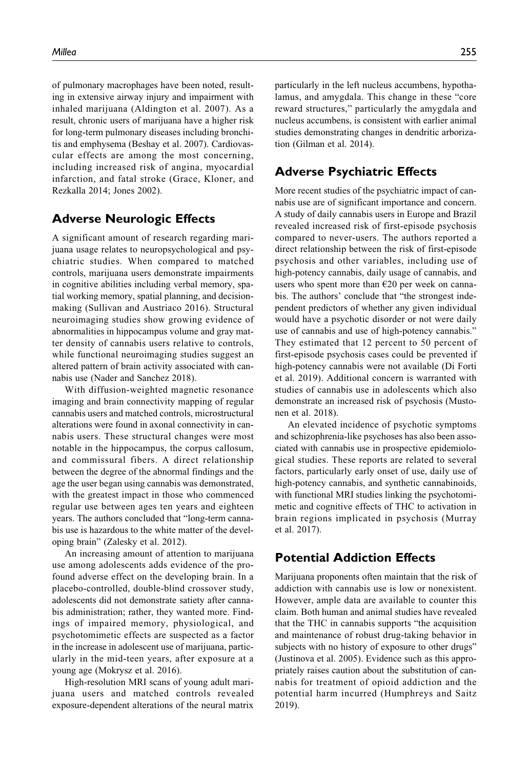of pulmonary macrophages have been noted, resulting in extensive airway injury and impairment with inhaled marijuana (Aldington et al. 2007). As a result, chronic users of marijuana have a higher risk for long-term pulmonary diseases including bronchitis and emphysema (Beshay et al. 2007). Cardiovascular effects are among the most concerning, including increased risk of angina, myocardial infarction, and fatal stroke (Grace, Kloner, and Rezkalla 2014; Jones 2002).

## Adverse Neurologic Effects

A significant amount of research regarding marijuana usage relates to neuropsychological and psychiatric studies. When compared to matched controls, marijuana users demonstrate impairments in cognitive abilities including verbal memory, spatial working memory, spatial planning, and decisionmaking (Sullivan and Austriaco 2016). Structural neuroimaging studies show growing evidence of abnormalities in hippocampus volume and gray matter density of cannabis users relative to controls, while functional neuroimaging studies suggest an altered pattern of brain activity associated with cannabis use (Nader and Sanchez 2018).

With diffusion-weighted magnetic resonance imaging and brain connectivity mapping of regular cannabis users and matched controls, microstructural alterations were found in axonal connectivity in cannabis users. These structural changes were most notable in the hippocampus, the corpus callosum, and commissural fibers. A direct relationship between the degree of the abnormal findings and the age the user began using cannabis was demonstrated, with the greatest impact in those who commenced regular use between ages ten years and eighteen years. The authors concluded that "long-term cannabis use is hazardous to the white matter of the developing brain" (Zalesky et al. 2012).

An increasing amount of attention to marijuana use among adolescents adds evidence of the profound adverse effect on the developing brain. In a placebo-controlled, double-blind crossover study, adolescents did not demonstrate satiety after cannabis administration; rather, they wanted more. Findings of impaired memory, physiological, and psychotomimetic effects are suspected as a factor in the increase in adolescent use of marijuana, particularly in the mid-teen years, after exposure at a young age (Mokrysz et al. 2016).

High-resolution MRI scans of young adult marijuana users and matched controls revealed exposure-dependent alterations of the neural matrix particularly in the left nucleus accumbens, hypothalamus, and amygdala. This change in these "core reward structures," particularly the amygdala and nucleus accumbens, is consistent with earlier animal studies demonstrating changes in dendritic arborization (Gilman et al. 2014).

## Adverse Psychiatric Effects

More recent studies of the psychiatric impact of cannabis use are of significant importance and concern. A study of daily cannabis users in Europe and Brazil revealed increased risk of first-episode psychosis compared to never-users. The authors reported a direct relationship between the risk of first-episode psychosis and other variables, including use of high-potency cannabis, daily usage of cannabis, and users who spent more than  $E20$  per week on cannabis. The authors' conclude that "the strongest independent predictors of whether any given individual would have a psychotic disorder or not were daily use of cannabis and use of high-potency cannabis." They estimated that 12 percent to 50 percent of first-episode psychosis cases could be prevented if high-potency cannabis were not available (Di Forti et al. 2019). Additional concern is warranted with studies of cannabis use in adolescents which also demonstrate an increased risk of psychosis (Mustonen et al. 2018).

An elevated incidence of psychotic symptoms and schizophrenia-like psychoses has also been associated with cannabis use in prospective epidemiological studies. These reports are related to several factors, particularly early onset of use, daily use of high-potency cannabis, and synthetic cannabinoids, with functional MRI studies linking the psychotomimetic and cognitive effects of THC to activation in brain regions implicated in psychosis (Murray et al. 2017).

# Potential Addiction Effects

Marijuana proponents often maintain that the risk of addiction with cannabis use is low or nonexistent. However, ample data are available to counter this claim. Both human and animal studies have revealed that the THC in cannabis supports "the acquisition and maintenance of robust drug-taking behavior in subjects with no history of exposure to other drugs" (Justinova et al. 2005). Evidence such as this appropriately raises caution about the substitution of cannabis for treatment of opioid addiction and the potential harm incurred (Humphreys and Saitz 2019).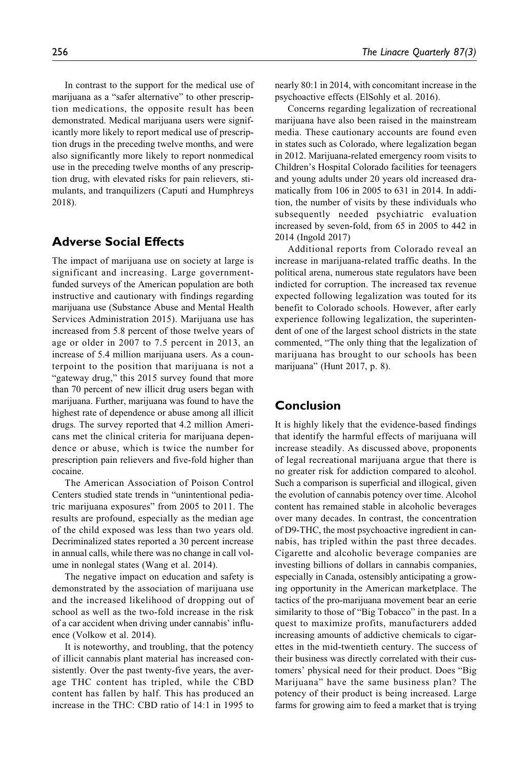In contrast to the support for the medical use of marijuana as a "safer alternative" to other prescription medications, the opposite result has been demonstrated. Medical marijuana users were significantly more likely to report medical use of prescription drugs in the preceding twelve months, and were also significantly more likely to report nonmedical use in the preceding twelve months of any prescription drug, with elevated risks for pain relievers, stimulants, and tranquilizers (Caputi and Humphreys 2018).

## Adverse Social Effects

The impact of marijuana use on society at large is significant and increasing. Large governmentfunded surveys of the American population are both instructive and cautionary with findings regarding marijuana use (Substance Abuse and Mental Health Services Administration 2015). Marijuana use has increased from 5.8 percent of those twelve years of age or older in 2007 to 7.5 percent in 2013, an increase of 5.4 million marijuana users. As a counterpoint to the position that marijuana is not a "gateway drug," this 2015 survey found that more than 70 percent of new illicit drug users began with marijuana. Further, marijuana was found to have the highest rate of dependence or abuse among all illicit drugs. The survey reported that 4.2 million Americans met the clinical criteria for marijuana dependence or abuse, which is twice the number for prescription pain relievers and five-fold higher than cocaine.

The American Association of Poison Control Centers studied state trends in "unintentional pediatric marijuana exposures" from 2005 to 2011. The results are profound, especially as the median age of the child exposed was less than two years old. Decriminalized states reported a 30 percent increase in annual calls, while there was no change in call volume in nonlegal states (Wang et al. 2014).

The negative impact on education and safety is demonstrated by the association of marijuana use and the increased likelihood of dropping out of school as well as the two-fold increase in the risk of a car accident when driving under cannabis' influence (Volkow et al. 2014).

It is noteworthy, and troubling, that the potency of illicit cannabis plant material has increased consistently. Over the past twenty-five years, the average THC content has tripled, while the CBD content has fallen by half. This has produced an increase in the THC: CBD ratio of 14:1 in 1995 to

nearly 80:1 in 2014, with concomitant increase in the psychoactive effects (ElSohly et al. 2016).

Concerns regarding legalization of recreational marijuana have also been raised in the mainstream media. These cautionary accounts are found even in states such as Colorado, where legalization began in 2012. Marijuana-related emergency room visits to Children's Hospital Colorado facilities for teenagers and young adults under 20 years old increased dramatically from 106 in 2005 to 631 in 2014. In addition, the number of visits by these individuals who subsequently needed psychiatric evaluation increased by seven-fold, from 65 in 2005 to 442 in 2014 (Ingold 2017)

Additional reports from Colorado reveal an increase in marijuana-related traffic deaths. In the political arena, numerous state regulators have been indicted for corruption. The increased tax revenue expected following legalization was touted for its benefit to Colorado schools. However, after early experience following legalization, the superintendent of one of the largest school districts in the state commented, "The only thing that the legalization of marijuana has brought to our schools has been marijuana" (Hunt 2017, p. 8).

# Conclusion

It is highly likely that the evidence-based findings that identify the harmful effects of marijuana will increase steadily. As discussed above, proponents of legal recreational marijuana argue that there is no greater risk for addiction compared to alcohol. Such a comparison is superficial and illogical, given the evolution of cannabis potency over time. Alcohol content has remained stable in alcoholic beverages over many decades. In contrast, the concentration of D9-THC, the most psychoactive ingredient in cannabis, has tripled within the past three decades. Cigarette and alcoholic beverage companies are investing billions of dollars in cannabis companies, especially in Canada, ostensibly anticipating a growing opportunity in the American marketplace. The tactics of the pro-marijuana movement bear an eerie similarity to those of "Big Tobacco" in the past. In a quest to maximize profits, manufacturers added increasing amounts of addictive chemicals to cigarettes in the mid-twentieth century. The success of their business was directly correlated with their customers' physical need for their product. Does "Big Marijuana" have the same business plan? The potency of their product is being increased. Large farms for growing aim to feed a market that is trying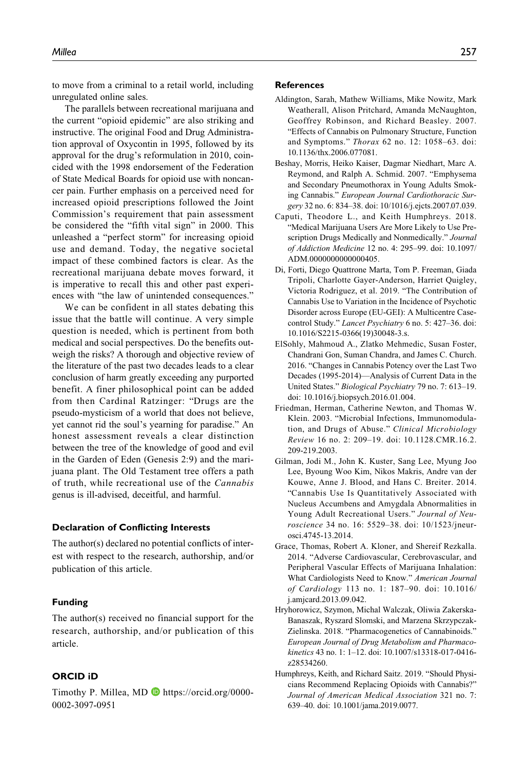to move from a criminal to a retail world, including unregulated online sales.

The parallels between recreational marijuana and the current "opioid epidemic" are also striking and instructive. The original Food and Drug Administration approval of Oxycontin in 1995, followed by its approval for the drug's reformulation in 2010, coincided with the 1998 endorsement of the Federation of State Medical Boards for opioid use with noncancer pain. Further emphasis on a perceived need for increased opioid prescriptions followed the Joint Commission's requirement that pain assessment be considered the "fifth vital sign" in 2000. This unleashed a "perfect storm" for increasing opioid use and demand. Today, the negative societal impact of these combined factors is clear. As the recreational marijuana debate moves forward, it is imperative to recall this and other past experiences with "the law of unintended consequences."

We can be confident in all states debating this issue that the battle will continue. A very simple question is needed, which is pertinent from both medical and social perspectives. Do the benefits outweigh the risks? A thorough and objective review of the literature of the past two decades leads to a clear conclusion of harm greatly exceeding any purported benefit. A finer philosophical point can be added from then Cardinal Ratzinger: "Drugs are the pseudo-mysticism of a world that does not believe, yet cannot rid the soul's yearning for paradise." An honest assessment reveals a clear distinction between the tree of the knowledge of good and evil in the Garden of Eden (Genesis 2:9) and the marijuana plant. The Old Testament tree offers a path of truth, while recreational use of the Cannabis genus is ill-advised, deceitful, and harmful.

#### Declaration of Conflicting Interests

The author(s) declared no potential conflicts of interest with respect to the research, authorship, and/or publication of this article.

#### Funding

The author(s) received no financial support for the research, authorship, and/or publication of this article.

## ORCID iD

Timothy P. Millea, MD [https://orcid.org/0000-](https://orcid.org/0000-0002-3097-0951) [0002-3097-0951](https://orcid.org/0000-0002-3097-0951)

#### References

- Aldington, Sarah, Mathew Williams, Mike Nowitz, Mark Weatherall, Alison Pritchard, Amanda McNaughton, Geoffrey Robinson, and Richard Beasley. 2007. "Effects of Cannabis on Pulmonary Structure, Function and Symptoms." Thorax 62 no. 12: 1058–63. doi: 10.1136/thx.2006.077081.
- Beshay, Morris, Heiko Kaiser, Dagmar Niedhart, Marc A. Reymond, and Ralph A. Schmid. 2007. "Emphysema and Secondary Pneumothorax in Young Adults Smoking Cannabis." European Journal Cardiothoracic Surgery 32 no. 6: 834–38. doi: 10/1016/j.ejcts.2007.07.039.
- Caputi, Theodore L., and Keith Humphreys. 2018. "Medical Marijuana Users Are More Likely to Use Prescription Drugs Medically and Nonmedically." Journal of Addiction Medicine 12 no. 4: 295–99. doi: 10.1097/ ADM.0000000000000405.
- Di, Forti, Diego Quattrone Marta, Tom P. Freeman, Giada Tripoli, Charlotte Gayer-Anderson, Harriet Quigley, Victoria Rodriguez, et al. 2019. "The Contribution of Cannabis Use to Variation in the Incidence of Psychotic Disorder across Europe (EU-GEI): A Multicentre Casecontrol Study." Lancet Psychiatry 6 no. 5: 427-36. doi: 10.1016/S2215-0366(19)30048-3.s.
- ElSohly, Mahmoud A., Zlatko Mehmedic, Susan Foster, Chandrani Gon, Suman Chandra, and James C. Church. 2016. "Changes in Cannabis Potency over the Last Two Decades (1995-2014)—Analysis of Current Data in the United States." Biological Psychiatry 79 no. 7: 613–19. doi: 10.1016/j.biopsych.2016.01.004.
- Friedman, Herman, Catherine Newton, and Thomas W. Klein. 2003. "Microbial Infections, Immunomodulation, and Drugs of Abuse." Clinical Microbiology Review 16 no. 2: 209–19. doi: 10.1128.CMR.16.2. 209-219.2003.
- Gilman, Jodi M., John K. Kuster, Sang Lee, Myung Joo Lee, Byoung Woo Kim, Nikos Makris, Andre van der Kouwe, Anne J. Blood, and Hans C. Breiter. 2014. "Cannabis Use Is Quantitatively Associated with Nucleus Accumbens and Amygdala Abnormalities in Young Adult Recreational Users." Journal of Neuroscience 34 no. 16: 5529–38. doi: 10/1523/jneurosci.4745-13.2014.
- Grace, Thomas, Robert A. Kloner, and Shereif Rezkalla. 2014. "Adverse Cardiovascular, Cerebrovascular, and Peripheral Vascular Effects of Marijuana Inhalation: What Cardiologists Need to Know." American Journal of Cardiology 113 no. 1: 187–90. doi: 10.1016/ j.amjcard.2013.09.042.
- Hryhorowicz, Szymon, Michal Walczak, Oliwia Zakerska-Banaszak, Ryszard Slomski, and Marzena Skrzypczak-Zielinska. 2018. "Pharmacogenetics of Cannabinoids." European Journal of Drug Metabolism and Pharmacokinetics 43 no. 1: 1–12. doi: 10.1007/s13318-017-0416 z28534260.
- Humphreys, Keith, and Richard Saitz. 2019. "Should Physicians Recommend Replacing Opioids with Cannabis?" Journal of American Medical Association 321 no. 7: 639–40. doi: 10.1001/jama.2019.0077.